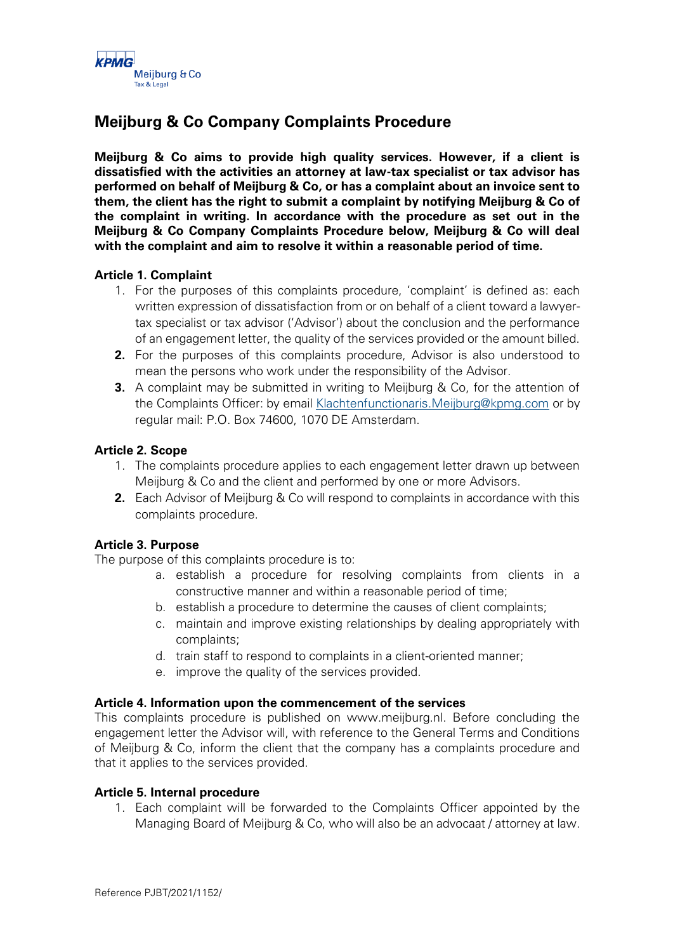

# **Meijburg & Co Company Complaints Procedure**

**Meijburg & Co aims to provide high quality services. However, if a client is dissatisfied with the activities an attorney at law-tax specialist or tax advisor has performed on behalf of Meijburg & Co, or has a complaint about an invoice sent to them, the client has the right to submit a complaint by notifying Meijburg & Co of the complaint in writing. In accordance with the procedure as set out in the Meijburg & Co Company Complaints Procedure below, Meijburg & Co will deal with the complaint and aim to resolve it within a reasonable period of time.** 

## **Article 1. Complaint**

- 1. For the purposes of this complaints procedure, 'complaint' is defined as: each written expression of dissatisfaction from or on behalf of a client toward a lawyertax specialist or tax advisor ('Advisor') about the conclusion and the performance of an engagement letter, the quality of the services provided or the amount billed.
- **2.** For the purposes of this complaints procedure, Advisor is also understood to mean the persons who work under the responsibility of the Advisor.
- **3.** A complaint may be submitted in writing to Meijburg & Co, for the attention of the Complaints Officer: by email [Klachtenfunctionaris.Meijburg@kpmg.com](mailto:Klachtenfunctionaris.Meijburg@kpmg.com) or by regular mail: P.O. Box 74600, 1070 DE Amsterdam.

## **Article 2. Scope**

- 1. The complaints procedure applies to each engagement letter drawn up between Meijburg & Co and the client and performed by one or more Advisors.
- **2.** Each Advisor of Meijburg & Co will respond to complaints in accordance with this complaints procedure.

## **Article 3. Purpose**

The purpose of this complaints procedure is to:

- a. establish a procedure for resolving complaints from clients in a constructive manner and within a reasonable period of time;
- b. establish a procedure to determine the causes of client complaints;
- c. maintain and improve existing relationships by dealing appropriately with complaints;
- d. train staff to respond to complaints in a client-oriented manner;
- e. improve the quality of the services provided.

#### **Article 4. Information upon the commencement of the services**

This complaints procedure is published on www.meijburg.nl. Before concluding the engagement letter the Advisor will, with reference to the General Terms and Conditions of Meijburg & Co, inform the client that the company has a complaints procedure and that it applies to the services provided.

#### **Article 5. Internal procedure**

1. Each complaint will be forwarded to the Complaints Officer appointed by the Managing Board of Meijburg & Co, who will also be an advocaat / attorney at law.